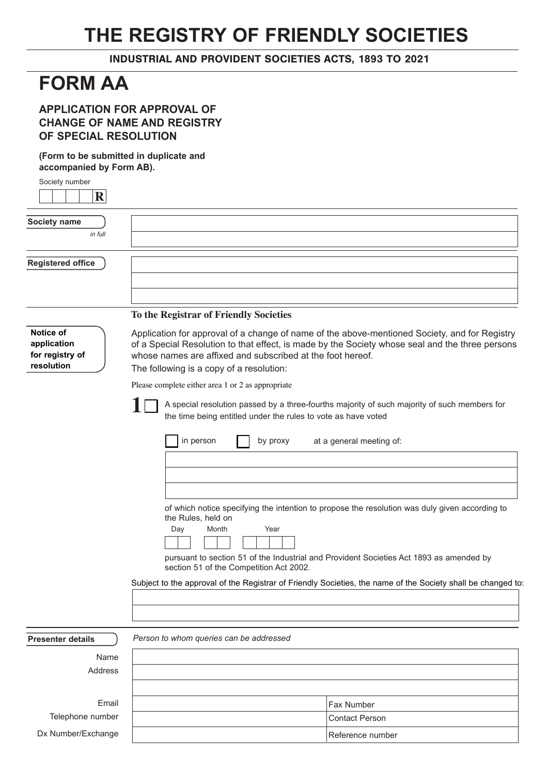## **THE REGISTRY OF FRIENDLY SOCIETIES**

INDUSTRIAL AND PROVIDENT SOCIETIES ACTS, 1893 TO 2021

## **FORM AA**

## **APPLICATION FOR APPROVAL OF CHANGE OF NAME AND REGISTRY OF SPECIAL RESOLUTION**

**(Form to be submitted in duplicate and accompanied by Form AB).** 

| Society number                                                                                                                                                                                                                                                                     |                                                                                                                                                                                                                                                                                                            |  |  |  |
|------------------------------------------------------------------------------------------------------------------------------------------------------------------------------------------------------------------------------------------------------------------------------------|------------------------------------------------------------------------------------------------------------------------------------------------------------------------------------------------------------------------------------------------------------------------------------------------------------|--|--|--|
| $\mathbf{R}$                                                                                                                                                                                                                                                                       |                                                                                                                                                                                                                                                                                                            |  |  |  |
| Society name<br>in full                                                                                                                                                                                                                                                            |                                                                                                                                                                                                                                                                                                            |  |  |  |
| <b>Registered office</b>                                                                                                                                                                                                                                                           |                                                                                                                                                                                                                                                                                                            |  |  |  |
|                                                                                                                                                                                                                                                                                    |                                                                                                                                                                                                                                                                                                            |  |  |  |
|                                                                                                                                                                                                                                                                                    | To the Registrar of Friendly Societies                                                                                                                                                                                                                                                                     |  |  |  |
| Notice of<br>application<br>for registry of<br>resolution                                                                                                                                                                                                                          | Application for approval of a change of name of the above-mentioned Society, and for Registry<br>of a Special Resolution to that effect, is made by the Society whose seal and the three persons<br>whose names are affixed and subscribed at the foot hereof.<br>The following is a copy of a resolution: |  |  |  |
|                                                                                                                                                                                                                                                                                    | Please complete either area 1 or 2 as appropriate                                                                                                                                                                                                                                                          |  |  |  |
|                                                                                                                                                                                                                                                                                    | A special resolution passed by a three-fourths majority of such majority of such members for<br>the time being entitled under the rules to vote as have voted                                                                                                                                              |  |  |  |
|                                                                                                                                                                                                                                                                                    | in person<br>at a general meeting of:<br>by proxy                                                                                                                                                                                                                                                          |  |  |  |
| of which notice specifying the intention to propose the resolution was duly given according to<br>the Rules, held on<br>Year<br>Day<br>Month<br>pursuant to section 51 of the Industrial and Provident Societies Act 1893 as amended by<br>section 51 of the Competition Act 2002. |                                                                                                                                                                                                                                                                                                            |  |  |  |
|                                                                                                                                                                                                                                                                                    | Subject to the approval of the Registrar of Friendly Societies, the name of the Society shall be changed to                                                                                                                                                                                                |  |  |  |
|                                                                                                                                                                                                                                                                                    |                                                                                                                                                                                                                                                                                                            |  |  |  |
| <b>Presenter details</b>                                                                                                                                                                                                                                                           | Person to whom queries can be addressed                                                                                                                                                                                                                                                                    |  |  |  |
| Name<br>Address                                                                                                                                                                                                                                                                    |                                                                                                                                                                                                                                                                                                            |  |  |  |
| Email                                                                                                                                                                                                                                                                              | Fax Number                                                                                                                                                                                                                                                                                                 |  |  |  |
| Telephone number                                                                                                                                                                                                                                                                   | <b>Contact Person</b>                                                                                                                                                                                                                                                                                      |  |  |  |
| Dx Number/Exchange                                                                                                                                                                                                                                                                 | Reference number                                                                                                                                                                                                                                                                                           |  |  |  |

Reference number